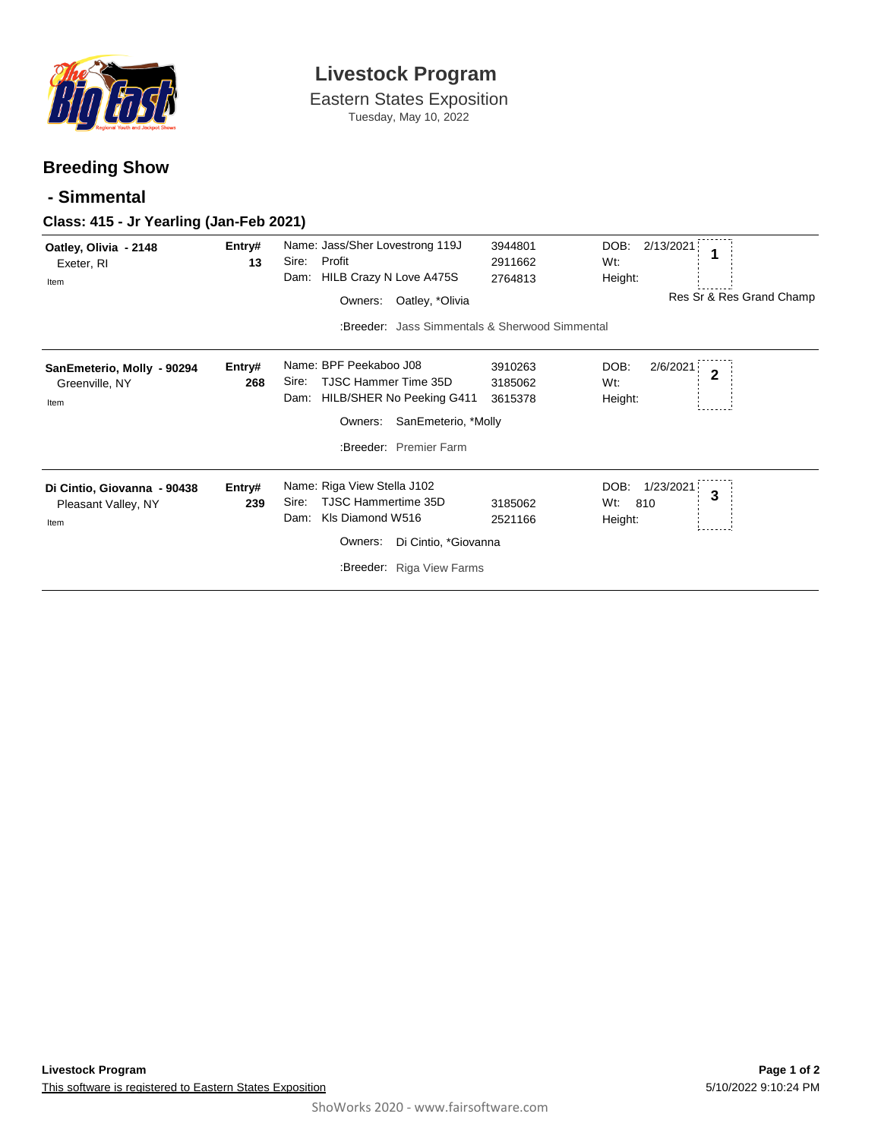

# **Livestock Program**

Eastern States Exposition Tuesday, May 10, 2022

### **Breeding Show**

#### **- Simmental**

#### **Class: 415 - Jr Yearling (Jan-Feb 2021)**

| Oatley, Olivia - 2148<br>Exeter, RI            | Entry#<br>13 | Name: Jass/Sher Lovestrong 119J<br>Profit<br>Sire: | 3944801<br>2911662 | DOB:<br>2/13/2021<br>Wt:           |  |  |  |
|------------------------------------------------|--------------|----------------------------------------------------|--------------------|------------------------------------|--|--|--|
| Item                                           |              | HILB Crazy N Love A475S<br>Dam:                    | 2764813            | Height:                            |  |  |  |
|                                                |              | Oatley, *Olivia<br>Owners:                         |                    | Res Sr & Res Grand Champ           |  |  |  |
| :Breeder: Jass Simmentals & Sherwood Simmental |              |                                                    |                    |                                    |  |  |  |
| SanEmeterio, Molly - 90294                     | Entry#       | Name: BPF Peekaboo J08                             | 3910263            | DOB:<br>2/6/2021<br>$\overline{2}$ |  |  |  |
| Greenville, NY                                 | 268          | TJSC Hammer Time 35D<br>Sire:                      | 3185062            | Wt:                                |  |  |  |
| Item                                           |              | HILB/SHER No Peeking G411<br>Dam:                  | 3615378            | Height:                            |  |  |  |
| Owners:<br>SanEmeterio, *Molly                 |              |                                                    |                    |                                    |  |  |  |
|                                                |              | :Breeder: Premier Farm                             |                    |                                    |  |  |  |
| Di Cintio, Giovanna - 90438                    | Entry#       | Name: Riga View Stella J102                        |                    | DOB:<br>1/23/2021<br>3             |  |  |  |
| Pleasant Valley, NY                            | 239          | TJSC Hammertime 35D<br>Sire:                       | 3185062            | Wt:<br>810                         |  |  |  |
| Item                                           |              | KIs Diamond W516<br>Dam:                           | 2521166            | Height:                            |  |  |  |
| Di Cintio, *Giovanna<br>Owners:                |              |                                                    |                    |                                    |  |  |  |
| :Breeder: Riga View Farms                      |              |                                                    |                    |                                    |  |  |  |
|                                                |              |                                                    |                    |                                    |  |  |  |